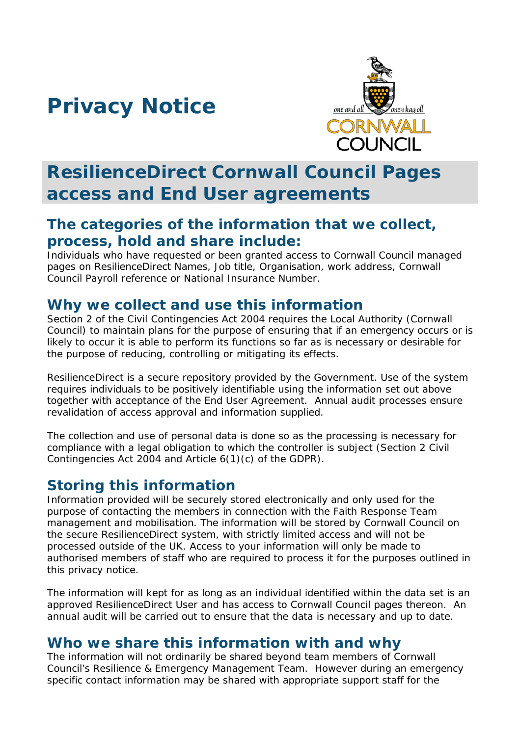# **Privacy Notice**



## **ResilienceDirect Cornwall Council Pages access and End User agreements**

### **The categories of the information that we collect, process, hold and share include:**

Individuals who have requested or been granted access to Cornwall Council managed pages on ResilienceDirect Names, Job title, Organisation, work address, Cornwall Council Payroll reference or National Insurance Number.

#### **Why we collect and use this information**

Section 2 of the Civil Contingencies Act 2004 requires the Local Authority (Cornwall Council) to maintain plans for the purpose of ensuring that if an emergency occurs or is likely to occur it is able to perform its functions so far as is necessary or desirable for the purpose of reducing, controlling or mitigating its effects.

ResilienceDirect is a secure repository provided by the Government. Use of the system requires individuals to be positively identifiable using the information set out above together with acceptance of the End User Agreement. Annual audit processes ensure revalidation of access approval and information supplied.

The collection and use of personal data is done so as the processing is necessary for compliance with a legal obligation to which the controller is subject (Section 2 Civil Contingencies Act 2004 and Article 6(1)(c) of the GDPR).

### **Storing this information**

Information provided will be securely stored electronically and only used for the purpose of contacting the members in connection with the Faith Response Team management and mobilisation. The information will be stored by Cornwall Council on the secure ResilienceDirect system, with strictly limited access and will not be processed outside of the UK. Access to your information will only be made to authorised members of staff who are required to process it for the purposes outlined in this privacy notice.

The information will kept for as long as an individual identified within the data set is an approved ResilienceDirect User and has access to Cornwall Council pages thereon. An annual audit will be carried out to ensure that the data is necessary and up to date.

#### **Who we share this information with and why**

The information will not ordinarily be shared beyond team members of Cornwall Council's Resilience & Emergency Management Team. However during an emergency specific contact information may be shared with appropriate support staff for the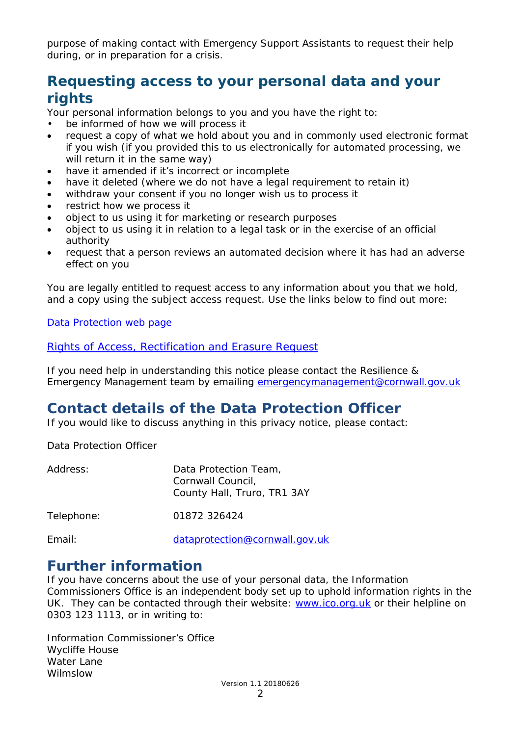purpose of making contact with Emergency Support Assistants to request their help during, or in preparation for a crisis.

### **Requesting access to your personal data and your rights**

Your personal information belongs to you and you have the right to:

- be informed of how we will process it
- request a copy of what we hold about you and in commonly used electronic format if you wish (if you provided this to us electronically for automated processing, we will return it in the same way)
- have it amended if it's incorrect or incomplete
- have it deleted (where we do not have a legal requirement to retain it)
- withdraw your consent if you no longer wish us to process it
- restrict how we process it
- object to us using it for marketing or research purposes
- object to us using it in relation to a legal task or in the exercise of an official authority
- request that a person reviews an automated decision where it has had an adverse effect on you

You are legally entitled to request access to any information about you that we hold, and a copy using the subject access request. Use the links below to find out more:

[Data Protection web page](http://www.cornwall.gov.uk/council-and-democracy/data-protection-and-freedom-of-information/data-protection)

[Rights of Access, Rectification and Erasure Request](https://www.cornwall.gov.uk/media/33315555/form-2018-rare-form-blank.pdf)

If you need help in understanding this notice please contact the Resilience & Emergency Management team by emailing [emergencymanagement@cornwall.gov.uk](mailto:emergencymanagement@cornwall.gov.uk)

### **Contact details of the Data Protection Officer**

If you would like to discuss anything in this privacy notice, please contact:

Data Protection Officer

| Address:   | Data Protection Team,<br>Cornwall Council,<br>County Hall, Truro, TR1 3AY |
|------------|---------------------------------------------------------------------------|
| Telephone: | 01872 326424                                                              |
| Email:     | dataprotection@cornwall.gov.uk                                            |

#### **Further information**

If you have concerns about the use of your personal data, the Information Commissioners Office is an independent body set up to uphold information rights in the UK. They can be contacted through their website: [www.ico.org.uk](http://www.ico.org.uk/) or their helpline on 0303 123 1113, or in writing to:

Information Commissioner's Office Wycliffe House Water Lane Wilmslow